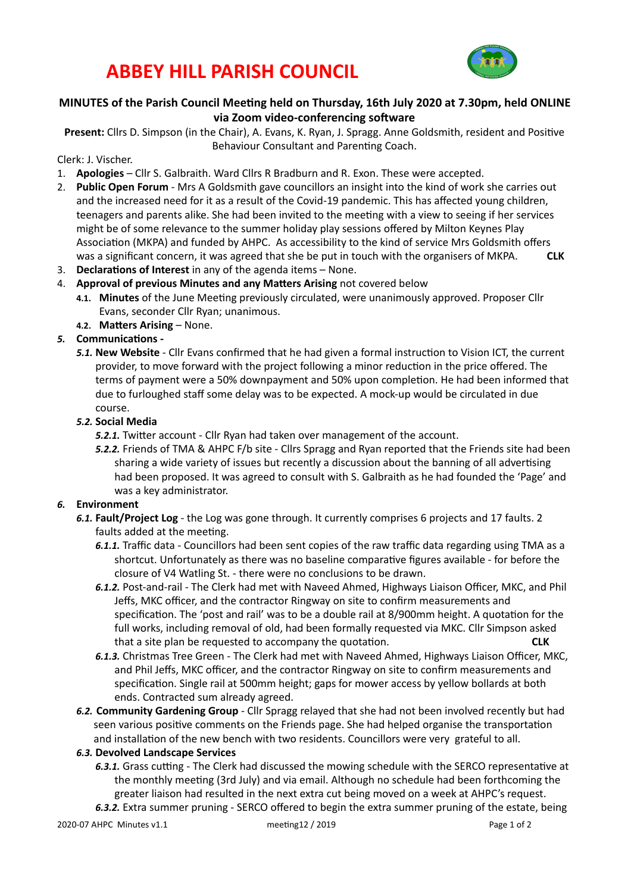## **ABBEY HILL PARISH COUNCIL**



### MINUTES of the Parish Council Meeting held on Thursday, 16th July 2020 at 7.30pm, held ONLINE via Zoom video-conferencing software

Present: Cllrs D. Simpson (in the Chair), A. Evans, K. Ryan, J. Spragg. Anne Goldsmith, resident and Positive Behaviour Consultant and Parenting Coach.

### Clerk: J. Vischer.

- 1. **Apologies** Cllr S. Galbraith. Ward Cllrs R Bradburn and R. Exon. These were accepted.
- 2. **Public Open Forum** Mrs A Goldsmith gave councillors an insight into the kind of work she carries out and the increased need for it as a result of the Covid-19 pandemic. This has affected young children, teenagers and parents alike. She had been invited to the meeting with a view to seeing if her services might be of some relevance to the summer holiday play sessions offered by Milton Keynes Play Association (MKPA) and funded by AHPC. As accessibility to the kind of service Mrs Goldsmith offers was a significant concern, it was agreed that she be put in touch with the organisers of MKPA. **CLK**
- 3. **Declarations of Interest** in any of the agenda items None.
- 4. **Approval of previous Minutes and any Matters Arising** not covered below
	- **4.1. Minutes** of the June Meeting previously circulated, were unanimously approved. Proposer Cllr Evans, seconder Cllr Ryan; unanimous.
	- **4.2. Matters Arising None.**

### **5.** Communications -

**5.1. New Website** - Cllr Evans confirmed that he had given a formal instruction to Vision ICT, the current provider, to move forward with the project following a minor reduction in the price offered. The terms of payment were a 50% downpayment and 50% upon completion. He had been informed that due to furloughed staff some delay was to be expected. A mock-up would be circulated in due course.

### *5.2.* **Social Media**

**5.2.1.** Twitter account - Cllr Ryan had taken over management of the account.

**5.2.2.** Friends of TMA & AHPC F/b site - Cllrs Spragg and Ryan reported that the Friends site had been sharing a wide variety of issues but recently a discussion about the banning of all advertising had been proposed. It was agreed to consult with S. Galbraith as he had founded the 'Page' and was a key administrator.

### 6. **Environment**

- **6.1. Fault/Project Log** the Log was gone through. It currently comprises 6 projects and 17 faults. 2 faults added at the meeting.
	- 6.1.1. Traffic data Councillors had been sent copies of the raw traffic data regarding using TMA as a shortcut. Unfortunately as there was no baseline comparative figures available - for before the closure of V4 Watling St. - there were no conclusions to be drawn.
	- **6.1.2.** Post-and-rail The Clerk had met with Naveed Ahmed, Highways Liaison Officer, MKC, and Phil Jeffs, MKC officer, and the contractor Ringway on site to confirm measurements and specification. The 'post and rail' was to be a double rail at 8/900mm height. A quotation for the full works, including removal of old, had been formally requested via MKC. Cllr Simpson asked that a site plan be requested to accompany the quotation. **ELK** CLK
	- 6.1.3. Christmas Tree Green The Clerk had met with Naveed Ahmed, Highways Liaison Officer, MKC, and Phil Jeffs, MKC officer, and the contractor Ringway on site to confirm measurements and specification. Single rail at 500mm height; gaps for mower access by yellow bollards at both ends. Contracted sum already agreed.
- 6.2. Community Gardening Group Cllr Spragg relayed that she had not been involved recently but had seen various positive comments on the Friends page. She had helped organise the transportation and installation of the new bench with two residents. Councillors were very grateful to all.

### *6.3.* **Devolved Landscape Services**

- 6.3.1. Grass cutting The Clerk had discussed the mowing schedule with the SERCO representative at the monthly meeting (3rd July) and via email. Although no schedule had been forthcoming the greater liaison had resulted in the next extra cut being moved on a week at AHPC's request.
- 6.3.2. Extra summer pruning SERCO offered to begin the extra summer pruning of the estate, being